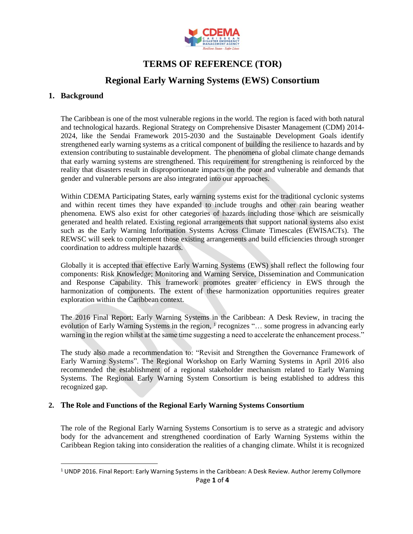

# **TERMS OF REFERENCE (TOR)**

## **Regional Early Warning Systems (EWS) Consortium**

## **1. Background**

The Caribbean is one of the most vulnerable regions in the world. The region is faced with both natural and technological hazards. Regional Strategy on Comprehensive Disaster Management (CDM) 2014- 2024, like the Sendai Framework 2015-2030 and the Sustainable Development Goals identify strengthened early warning systems as a critical component of building the resilience to hazards and by extension contributing to sustainable development. The phenomena of global climate change demands that early warning systems are strengthened. This requirement for strengthening is reinforced by the reality that disasters result in disproportionate impacts on the poor and vulnerable and demands that gender and vulnerable persons are also integrated into our approaches.

Within CDEMA Participating States, early warning systems exist for the traditional cyclonic systems and within recent times they have expanded to include troughs and other rain bearing weather phenomena. EWS also exist for other categories of hazards including those which are seismically generated and health related. Existing regional arrangements that support national systems also exist such as the Early Warning Information Systems Across Climate Timescales (EWISACTs). The REWSC will seek to complement those existing arrangements and build efficiencies through stronger coordination to address multiple hazards.

Globally it is accepted that effective Early Warning Systems (EWS) shall reflect the following four components: Risk Knowledge; Monitoring and Warning Service, Dissemination and Communication and Response Capability. This framework promotes greater efficiency in EWS through the harmonization of components. The extent of these harmonization opportunities requires greater exploration within the Caribbean context.

The 2016 Final Report: Early Warning Systems in the Caribbean: A Desk Review, in tracing the evolution of Early Warning Systems in the region, <sup>1</sup> recognizes "... some progress in advancing early warning in the region whilst at the same time suggesting a need to accelerate the enhancement process."

The study also made a recommendation to: "Revisit and Strengthen the Governance Framework of Early Warning Systems". The Regional Workshop on Early Warning Systems in April 2016 also recommended the establishment of a regional stakeholder mechanism related to Early Warning Systems. The Regional Early Warning System Consortium is being established to address this recognized gap.

#### **2. The Role and Functions of the Regional Early Warning Systems Consortium**

The role of the Regional Early Warning Systems Consortium is to serve as a strategic and advisory body for the advancement and strengthened coordination of Early Warning Systems within the Caribbean Region taking into consideration the realities of a changing climate. Whilst it is recognized

Page **1** of **4** <sup>1</sup> UNDP 2016. Final Report: Early Warning Systems in the Caribbean: A Desk Review. Author Jeremy Collymore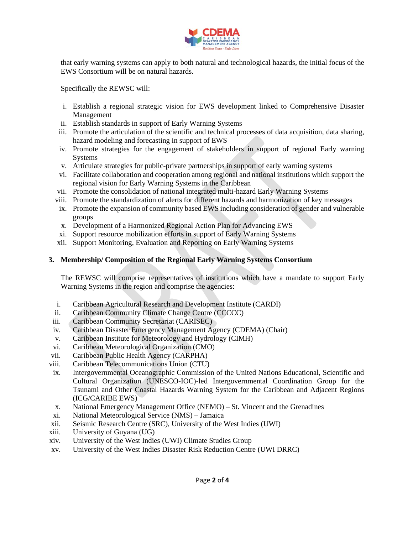

that early warning systems can apply to both natural and technological hazards, the initial focus of the EWS Consortium will be on natural hazards.

Specifically the REWSC will:

- i. Establish a regional strategic vision for EWS development linked to Comprehensive Disaster Management
- ii. Establish standards in support of Early Warning Systems
- iii. Promote the articulation of the scientific and technical processes of data acquisition, data sharing, hazard modeling and forecasting in support of EWS
- iv. Promote strategies for the engagement of stakeholders in support of regional Early warning Systems
- v. Articulate strategies for public-private partnerships in support of early warning systems
- vi. Facilitate collaboration and cooperation among regional and national institutions which support the regional vision for Early Warning Systems in the Caribbean
- vii. Promote the consolidation of national integrated multi-hazard Early Warning Systems
- viii. Promote the standardization of alerts for different hazards and harmonization of key messages
- ix. Promote the expansion of community based EWS including consideration of gender and vulnerable groups
- x. Development of a Harmonized Regional Action Plan for Advancing EWS
- xi. Support resource mobilization efforts in support of Early Warning Systems
- xii. Support Monitoring, Evaluation and Reporting on Early Warning Systems

## <span id="page-1-0"></span>**3. Membership/ Composition of the Regional Early Warning Systems Consortium**

The REWSC will comprise representatives of institutions which have a mandate to support Early Warning Systems in the region and comprise the agencies:

- i. Caribbean Agricultural Research and Development Institute (CARDI)
- ii. Caribbean Community Climate Change Centre (CCCCC)
- iii. Caribbean Community Secretariat (CARISEC)
- iv. Caribbean Disaster Emergency Management Agency (CDEMA) (Chair)
- v. Caribbean Institute for Meteorology and Hydrology (CIMH)
- vi. Caribbean Meteorological Organization (CMO)
- vii. Caribbean Public Health Agency (CARPHA)
- viii. Caribbean Telecommunications Union (CTU)
- ix. Intergovernmental Oceanographic Commission of the United Nations Educational, Scientific and Cultural Organization (UNESCO-IOC)-led Intergovernmental Coordination Group for the Tsunami and Other Coastal Hazards Warning System for the Caribbean and Adjacent Regions (ICG/CARIBE EWS)
- x. National Emergency Management Office (NEMO) St. Vincent and the Grenadines
- xi. National Meteorological Service (NMS) Jamaica
- xii. Seismic Research Centre (SRC), University of the West Indies (UWI)
- xiii. University of Guyana (UG)
- xiv. University of the West Indies (UWI) Climate Studies Group
- xv. University of the West Indies Disaster Risk Reduction Centre (UWI DRRC)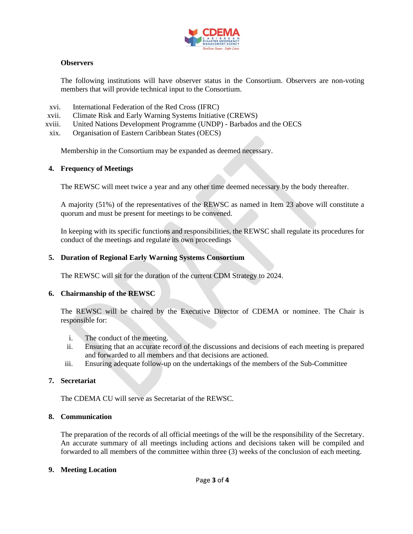

### **Observers**

The following institutions will have observer status in the Consortium. Observers are non-voting members that will provide technical input to the Consortium.

- xvi. International Federation of the Red Cross (IFRC)
- xvii. Climate Risk and Early Warning Systems Initiative (CREWS)
- xviii. United Nations Development Programme (UNDP) Barbados and the OECS
- xix. Organisation of Eastern Caribbean States (OECS)

Membership in the Consortium may be expanded as deemed necessary.

## **4. Frequency of Meetings**

The REWSC will meet twice a year and any other time deemed necessary by the body thereafter.

A majority (51%) of the representatives of the REWSC as named in Item [23](#page-1-0) above will constitute a quorum and must be present for meetings to be convened.

In keeping with its specific functions and responsibilities, the REWSC shall regulate its procedures for conduct of the meetings and regulate its own proceedings

## **5. Duration of Regional Early Warning Systems Consortium**

The REWSC will sit for the duration of the current CDM Strategy to 2024.

#### **6. Chairmanship of the REWSC**

The REWSC will be chaired by the Executive Director of CDEMA or nominee. The Chair is responsible for:

- i. The conduct of the meeting.
- ii. Ensuring that an accurate record of the discussions and decisions of each meeting is prepared and forwarded to all members and that decisions are actioned.
- iii. Ensuring adequate follow-up on the undertakings of the members of the Sub-Committee

#### **7. Secretariat**

The CDEMA CU will serve as Secretariat of the REWSC.

### **8. Communication**

The preparation of the records of all official meetings of the will be the responsibility of the Secretary. An accurate summary of all meetings including actions and decisions taken will be compiled and forwarded to all members of the committee within three (3) weeks of the conclusion of each meeting.

#### **9. Meeting Location**